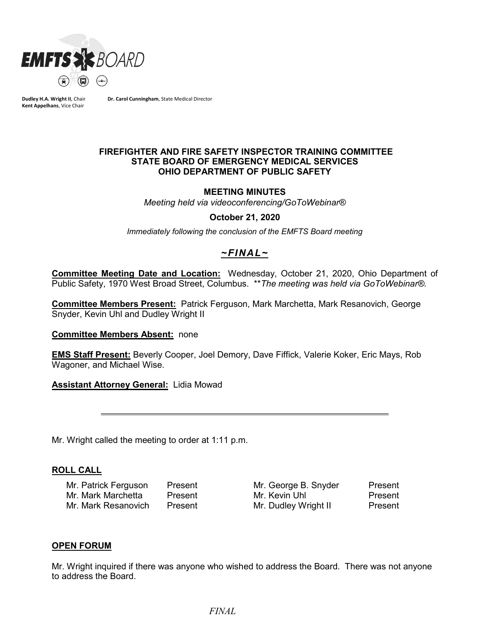

**Dudley H.A. Wright II**, Chair **Kent Appelhans**, Vice Chair

**Dr. Carol Cunningham**, State Medical Director

### **FIREFIGHTER AND FIRE SAFETY INSPECTOR TRAINING COMMITTEE STATE BOARD OF EMERGENCY MEDICAL SERVICES OHIO DEPARTMENT OF PUBLIC SAFETY**

#### **MEETING MINUTES**

*Meeting held via videoconferencing/GoToWebinar®*

#### **October 21, 2020**

*Immediately following the conclusion of the EMFTS Board meeting*

# *~FINAL~*

**Committee Meeting Date and Location:** Wednesday, October 21, 2020, Ohio Department of Public Safety, 1970 West Broad Street, Columbus. \*\**The meeting was held via GoToWebinar®.*

**Committee Members Present:** Patrick Ferguson, Mark Marchetta, Mark Resanovich, George Snyder, Kevin Uhl and Dudley Wright II

#### **Committee Members Absent:** none

**EMS Staff Present:** Beverly Cooper, Joel Demory, Dave Fiffick, Valerie Koker, Eric Mays, Rob Wagoner, and Michael Wise.

**Assistant Attorney General:** Lidia Mowad

Mr. Wright called the meeting to order at 1:11 p.m.

#### **ROLL CALL**

Mr. Patrick Ferguson Present Mr. George B. Snyder Present Mr. Mark Marchetta Present Mr. Kevin Uhl Present Mr. Mark Resanovich Present Mr. Dudley Wright II Present

#### **OPEN FORUM**

Mr. Wright inquired if there was anyone who wished to address the Board. There was not anyone to address the Board.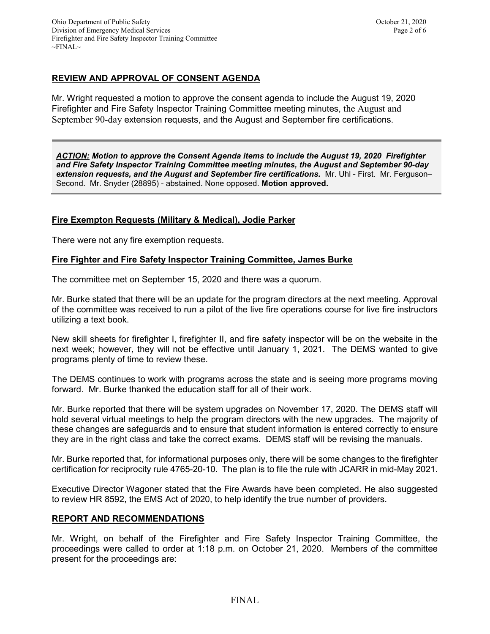Mr. Wright requested a motion to approve the consent agenda to include the August 19, 2020 Firefighter and Fire Safety Inspector Training Committee meeting minutes, the August and September 90-day extension requests, and the August and September fire certifications.

*ACTION: Motion to approve the Consent Agenda items to include the August 19, 2020 Firefighter and Fire Safety Inspector Training Committee meeting minutes, the August and September 90-day extension requests, and the August and September fire certifications.* Mr. Uhl - First. Mr. Ferguson– Second. Mr. Snyder (28895) - abstained. None opposed. **Motion approved.**

# **Fire Exempton Requests (Military & Medical), Jodie Parker**

There were not any fire exemption requests.

# **Fire Fighter and Fire Safety Inspector Training Committee, James Burke**

The committee met on September 15, 2020 and there was a quorum.

Mr. Burke stated that there will be an update for the program directors at the next meeting. Approval of the committee was received to run a pilot of the live fire operations course for live fire instructors utilizing a text book.

New skill sheets for firefighter I, firefighter II, and fire safety inspector will be on the website in the next week; however, they will not be effective until January 1, 2021. The DEMS wanted to give programs plenty of time to review these.

The DEMS continues to work with programs across the state and is seeing more programs moving forward. Mr. Burke thanked the education staff for all of their work.

Mr. Burke reported that there will be system upgrades on November 17, 2020. The DEMS staff will hold several virtual meetings to help the program directors with the new upgrades. The majority of these changes are safeguards and to ensure that student information is entered correctly to ensure they are in the right class and take the correct exams. DEMS staff will be revising the manuals.

Mr. Burke reported that, for informational purposes only, there will be some changes to the firefighter certification for reciprocity rule 4765-20-10. The plan is to file the rule with JCARR in mid-May 2021.

Executive Director Wagoner stated that the Fire Awards have been completed. He also suggested to review HR 8592, the EMS Act of 2020, to help identify the true number of providers.

# **REPORT AND RECOMMENDATIONS**

Mr. Wright, on behalf of the Firefighter and Fire Safety Inspector Training Committee, the proceedings were called to order at 1:18 p.m. on October 21, 2020. Members of the committee present for the proceedings are: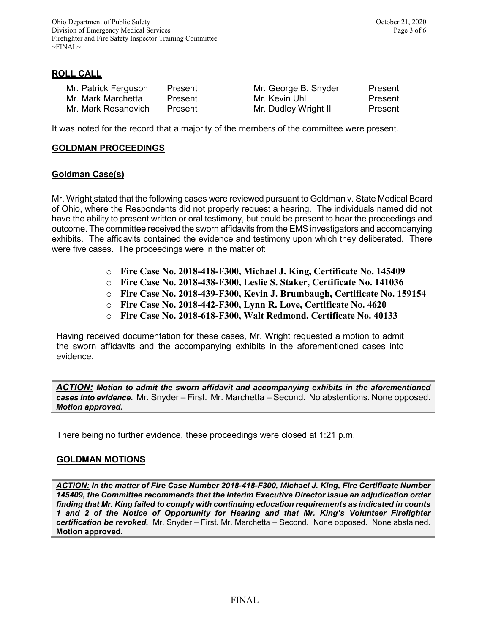# **ROLL CALL**

| Mr. Patrick Ferguson | Present | Mr. George B. Snyder | Present |
|----------------------|---------|----------------------|---------|
| Mr. Mark Marchetta   | Present | Mr. Kevin Uhl        | Present |
| Mr. Mark Resanovich  | Present | Mr. Dudley Wright II | Present |

It was noted for the record that a majority of the members of the committee were present.

### **GOLDMAN PROCEEDINGS**

### **Goldman Case(s)**

Mr. Wright stated that the following cases were reviewed pursuant to Goldman v. State Medical Board of Ohio, where the Respondents did not properly request a hearing. The individuals named did not have the ability to present written or oral testimony, but could be present to hear the proceedings and outcome. The committee received the sworn affidavits from the EMS investigators and accompanying exhibits. The affidavits contained the evidence and testimony upon which they deliberated. There were five cases. The proceedings were in the matter of:

- o **Fire Case No. 2018-418-F300, Michael J. King, Certificate No. 145409**
- o **Fire Case No. 2018-438-F300, Leslie S. Staker, Certificate No. 141036**
- o **Fire Case No. 2018-439-F300, Kevin J. Brumbaugh, Certificate No. 159154**
- o **Fire Case No. 2018-442-F300, Lynn R. Love, Certificate No. 4620**
- o **Fire Case No. 2018-618-F300, Walt Redmond, Certificate No. 40133**

Having received documentation for these cases, Mr. Wright requested a motion to admit the sworn affidavits and the accompanying exhibits in the aforementioned cases into evidence.

*ACTION: Motion to admit the sworn affidavit and accompanying exhibits in the aforementioned cases into evidence.* Mr. Snyder – First. Mr. Marchetta – Second. No abstentions. None opposed. *Motion approved.* 

There being no further evidence, these proceedings were closed at 1:21 p.m.

# **GOLDMAN MOTIONS**

*ACTION: In the matter of Fire Case Number 2018-418-F300, Michael J. King, Fire Certificate Number 145409, the Committee recommends that the Interim Executive Director issue an adjudication order finding that Mr. King failed to comply with continuing education requirements as indicated in counts 1 and 2 of the Notice of Opportunity for Hearing and that Mr. King's Volunteer Firefighter certification be revoked.* Mr. Snyder – First. Mr. Marchetta – Second. None opposed. None abstained. **Motion approved.**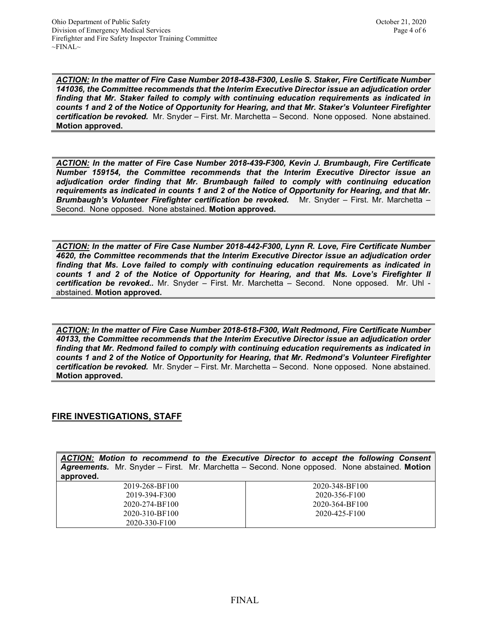*ACTION: In the matter of Fire Case Number 2018-438-F300, Leslie S. Staker, Fire Certificate Number 141036, the Committee recommends that the Interim Executive Director issue an adjudication order finding that Mr. Staker failed to comply with continuing education requirements as indicated in counts 1 and 2 of the Notice of Opportunity for Hearing, and that Mr. Staker's Volunteer Firefighter certification be revoked.* Mr. Snyder – First. Mr. Marchetta – Second. None opposed. None abstained. **Motion approved.** 

*ACTION: In the matter of Fire Case Number 2018-439-F300, Kevin J. Brumbaugh, Fire Certificate Number 159154, the Committee recommends that the Interim Executive Director issue an adjudication order finding that Mr. Brumbaugh failed to comply with continuing education requirements as indicated in counts 1 and 2 of the Notice of Opportunity for Hearing, and that Mr. Brumbaugh's Volunteer Firefighter certification be revoked.* Mr. Snyder – First. Mr. Marchetta – Second. None opposed. None abstained. **Motion approved.** 

*ACTION: In the matter of Fire Case Number 2018-442-F300, Lynn R. Love, Fire Certificate Number 4620, the Committee recommends that the Interim Executive Director issue an adjudication order finding that Ms. Love failed to comply with continuing education requirements as indicated in counts 1 and 2 of the Notice of Opportunity for Hearing, and that Ms. Love's Firefighter II certification be revoked..* Mr. Snyder – First. Mr. Marchetta – Second. None opposed. Mr. Uhl abstained. **Motion approved.** 

*ACTION: In the matter of Fire Case Number 2018-618-F300, Walt Redmond, Fire Certificate Number 40133, the Committee recommends that the Interim Executive Director issue an adjudication order finding that Mr. Redmond failed to comply with continuing education requirements as indicated in counts 1 and 2 of the Notice of Opportunity for Hearing, that Mr. Redmond's Volunteer Firefighter certification be revoked.* Mr. Snyder – First. Mr. Marchetta – Second. None opposed. None abstained. **Motion approved.** 

# **FIRE INVESTIGATIONS, STAFF**

*ACTION: Motion to recommend to the Executive Director to accept the following Consent Agreements.* Mr. Snyder – First. Mr. Marchetta – Second. None opposed. None abstained. **Motion approved.**

| . .            |                |
|----------------|----------------|
| 2019-268-BF100 | 2020-348-BF100 |
| 2019-394-F300  | 2020-356-F100  |
| 2020-274-BF100 | 2020-364-BF100 |
| 2020-310-BF100 | 2020-425-F100  |
| 2020-330-F100  |                |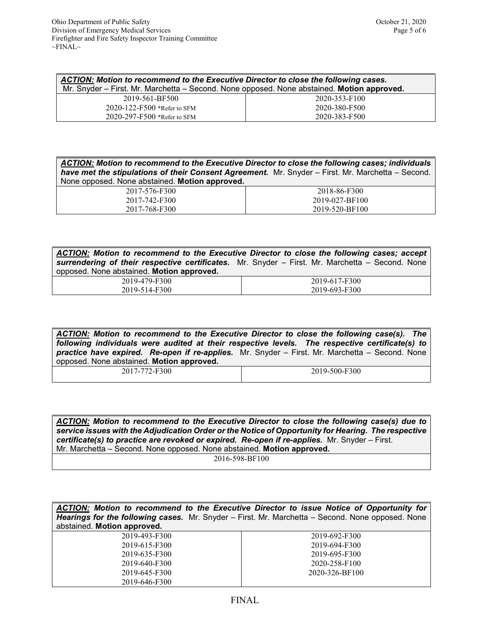| ACTION: Motion to recommend to the Executive Director to close the following cases.<br>Mr. Snyder – First. Mr. Marchetta – Second. None opposed. None abstained. Motion approved. |               |  |
|-----------------------------------------------------------------------------------------------------------------------------------------------------------------------------------|---------------|--|
| 2019-561-BF500                                                                                                                                                                    | 2020-353-F100 |  |
| $2020 - 122 - F500$ *Refer to SFM                                                                                                                                                 | 2020-380-F500 |  |
| 2020-297-F500 *Refer to SFM                                                                                                                                                       | 2020-383-F500 |  |

*ACTION: Motion to recommend to the Executive Director to close the following cases; individuals have met the stipulations of their Consent Agreement.* Mr. Snyder – First. Mr. Marchetta – Second. None opposed. None abstained. **Motion approved.**

| 2017-576-F300 | 2018-86-F300   |
|---------------|----------------|
| 2017-742-F300 | 2019-027-BF100 |
| 2017-768-F300 | 2019-520-BF100 |

*ACTION: Motion to recommend to the Executive Director to close the following cases; accept surrendering of their respective certificates.* Mr. Snyder – First. Mr. Marchetta – Second. None opposed. None abstained. **Motion approved.**

| 479-F300<br>2019-41 | 2019-617-F300 |
|---------------------|---------------|
| 2019-514-F300       | 2019-693-F300 |

*ACTION: Motion to recommend to the Executive Director to close the following case(s). The following individuals were audited at their respective levels. The respective certificate(s) to practice have expired. Re-open if re-applies.* Mr. Snyder – First. Mr. Marchetta – Second. None opposed. None abstained. **Motion approved.**

| 2017-772-F300 | 2019-500-F300 |
|---------------|---------------|
|               |               |

*ACTION: Motion to recommend to the Executive Director to close the following case(s) due to service issues with the Adjudication Order or the Notice of Opportunity for Hearing. The respective certificate(s) to practice are revoked or expired. Re-open if re-applies.* Mr. Snyder – First. Mr. Marchetta – Second. None opposed. None abstained. **Motion approved.** 2016-598-BF100

*ACTION: Motion to recommend to the Executive Director to issue Notice of Opportunity for Hearings for the following cases.* Mr. Snyder – First. Mr. Marchetta – Second. None opposed. None abstained. **Motion approved.** 2019-493-F300 2019-615-F300 2019-635-F300 2019-640-F300 2019-645-F300 2019-646-F300 2019-692-F300 2019-694-F300 2019-695-F300 2020-258-F100 2020-326-BF100